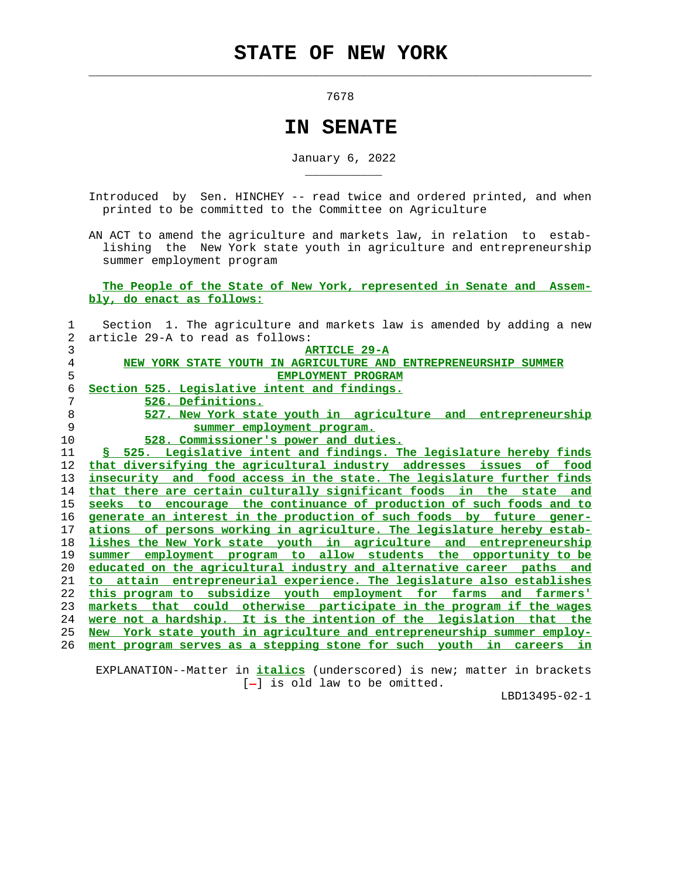$\mathcal{L}_\text{max} = \frac{1}{2} \sum_{i=1}^{n} \frac{1}{2} \sum_{i=1}^{n} \frac{1}{2} \sum_{i=1}^{n} \frac{1}{2} \sum_{i=1}^{n} \frac{1}{2} \sum_{i=1}^{n} \frac{1}{2} \sum_{i=1}^{n} \frac{1}{2} \sum_{i=1}^{n} \frac{1}{2} \sum_{i=1}^{n} \frac{1}{2} \sum_{i=1}^{n} \frac{1}{2} \sum_{i=1}^{n} \frac{1}{2} \sum_{i=1}^{n} \frac{1}{2} \sum_{i=1}^{n} \frac{1$ 

\_\_\_\_\_\_\_\_\_\_\_

7678

## **IN SENATE**

January 6, 2022

 Introduced by Sen. HINCHEY -- read twice and ordered printed, and when printed to be committed to the Committee on Agriculture

 AN ACT to amend the agriculture and markets law, in relation to estab lishing the New York state youth in agriculture and entrepreneurship summer employment program

 **The People of the State of New York, represented in Senate and Assem bly, do enact as follows:**

| 1  | Section 1. The agriculture and markets law is amended by adding a new      |
|----|----------------------------------------------------------------------------|
| 2  | article 29-A to read as follows:                                           |
| 3  | <b>ARTICLE 29-A</b>                                                        |
| 4  | NEW YORK STATE YOUTH IN AGRICULTURE AND ENTREPRENEURSHIP SUMMER            |
| 5  | EMPLOYMENT PROGRAM                                                         |
| 6  | Section 525. Legislative intent and findings.                              |
| 7  | 526. Definitions.                                                          |
| 8  | 527. New York state youth in agriculture and entrepreneurship              |
| 9  | summer employment program.                                                 |
| 10 | 528. Commissioner's power and duties.                                      |
| 11 | § 525. Legislative intent and findings. The legislature hereby finds       |
| 12 | that diversifying the agricultural industry addresses issues of food       |
| 13 | insecurity and food access in the state. The legislature further finds     |
| 14 | that there are certain culturally significant foods in<br>the state and    |
| 15 | seeks to encourage the continuance of production of such foods and to      |
| 16 | generate an interest in the production of such foods by future gener-      |
| 17 | of persons working in agriculture. The legislature hereby estab-<br>ations |
| 18 | lishes the New York state youth in agriculture and entrepreneurship        |
| 19 | employment program to allow students the opportunity to be<br>summer       |
| 20 | educated on the agricultural industry and alternative career paths and     |
| 21 | to attain entrepreneurial experience. The legislature also establishes     |
| 22 | this program to subsidize youth employment for farms and farmers'          |
| 23 | markets that could otherwise participate in the program if the wages       |
| 24 | were not a hardship. It is the intention of the legislation that the       |
| 25 | New York state youth in agriculture and entrepreneurship summer employ-    |
| 26 | ment program serves as a stepping stone for such youth in careers in       |
|    |                                                                            |

 EXPLANATION--Matter in **italics** (underscored) is new; matter in brackets [-] is old law to be omitted.

LBD13495-02-1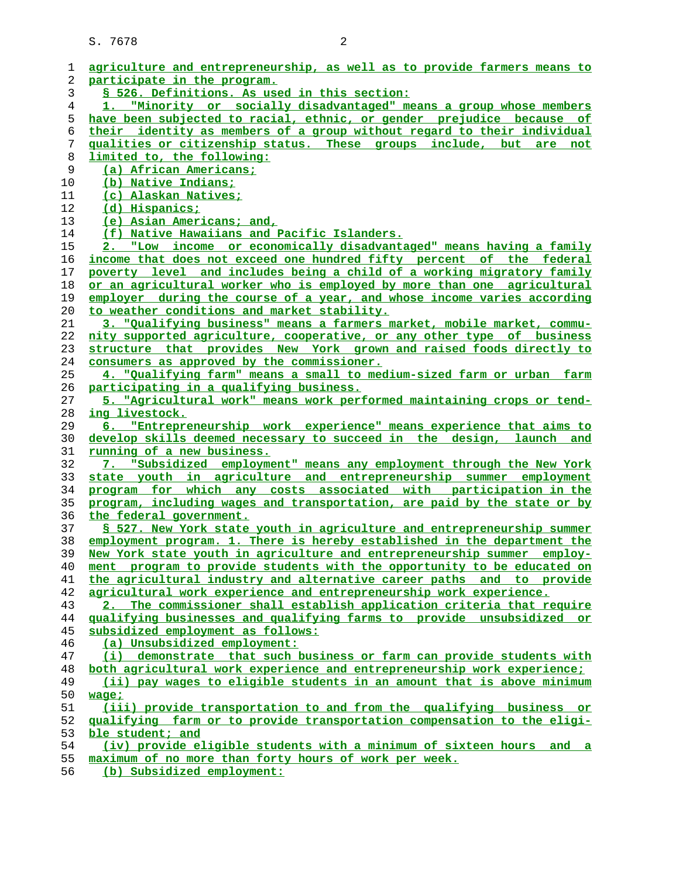| ı  | agriculture and entrepreneurship, as well as to provide farmers means to     |
|----|------------------------------------------------------------------------------|
| 2  | participate in the program.                                                  |
| 3  | § 526. Definitions. As used in this section:                                 |
| 4  | 1. "Minority or socially disadvantaged" means a group whose members          |
| 5  | have been subjected to racial, ethnic, or gender prejudice because of        |
| 6  | their identity as members of a group without regard to their individual      |
| 7  | qualities or citizenship status. These groups include, but are not           |
| 8  | limited to, the following:                                                   |
| 9  | (a) African Americans;                                                       |
| 10 | (b) Native Indians;                                                          |
| 11 | (c) Alaskan Natives;                                                         |
| 12 | (d) Hispanics;                                                               |
| 13 | (e) Asian Americans; and,                                                    |
| 14 | (f) Native Hawaiians and Pacific Islanders.                                  |
| 15 | 2. "Low income or economically disadvantaged" means having a family          |
| 16 | income that does not exceed one hundred fifty percent of the federal         |
|    | poverty level and includes being a child of a working migratory family       |
| 17 |                                                                              |
| 18 | or an agricultural worker who is employed by more than one agricultural      |
| 19 | employer during the course of a year, and whose income varies according      |
| 20 | to weather conditions and market stability.                                  |
| 21 | 3. "Qualifying business" means a farmers market, mobile market, commu-       |
| 22 | nity supported agriculture, cooperative, or any other type of business       |
| 23 | structure that provides New York grown and raised foods directly to          |
| 24 | consumers as approved by the commissioner.                                   |
| 25 | 4. "Qualifying farm" means a small to medium-sized farm or urban farm        |
| 26 | participating in a qualifying business.                                      |
| 27 | 5. "Agricultural work" means work performed maintaining crops or tend-       |
| 28 | ing livestock.                                                               |
| 29 | 6. "Entrepreneurship work experience" means experience that aims to          |
| 30 | develop skills deemed necessary to succeed in the design, launch and         |
| 31 | <u>running of a new business.</u>                                            |
| 32 | 7. "Subsidized employment" means any employment through the New York         |
| 33 | state youth in agriculture and entrepreneurship summer employment            |
| 34 | program for which any costs associated with participation in the             |
| 35 | program, including wages and transportation, are paid by the state or by     |
| 36 | the federal government.                                                      |
| 37 | § 527. New York state youth in agriculture and entrepreneurship summer       |
| 38 | employment program. 1. There is hereby established in the department the     |
| 39 | New York state youth in agriculture and entrepreneurship summer employ-      |
| 40 | ment program to provide students with the opportunity to be educated on      |
| 41 | the agricultural industry and alternative career paths and to provide        |
| 42 | agricultural work experience and entrepreneurship work experience.           |
| 43 | 2. The commissioner shall establish application criteria that require        |
| 44 | qualifying businesses and qualifying farms to provide unsubsidized or        |
| 45 | subsidized employment as follows:                                            |
| 46 | (a) Unsubsidized employment:                                                 |
| 47 | (i) demonstrate that such business or farm can provide students with         |
|    |                                                                              |
| 48 | both agricultural work experience and entrepreneurship work experience;      |
| 49 | (ii) pay wages to eligible students in an amount that is above minimum       |
| 50 | $x = 5$                                                                      |
| 51 | (iii) provide transportation to and from the qualifying business or          |
| 52 | qualifying farm or to provide transportation compensation to the eligi-      |
| 53 | ble student; and                                                             |
| 54 | (iv) provide eligible students with a minimum of sixteen hours<br>and<br>- a |
| 55 | maximum of no more than forty hours of work per week.                        |
| 56 | (b) Subsidized employment:                                                   |